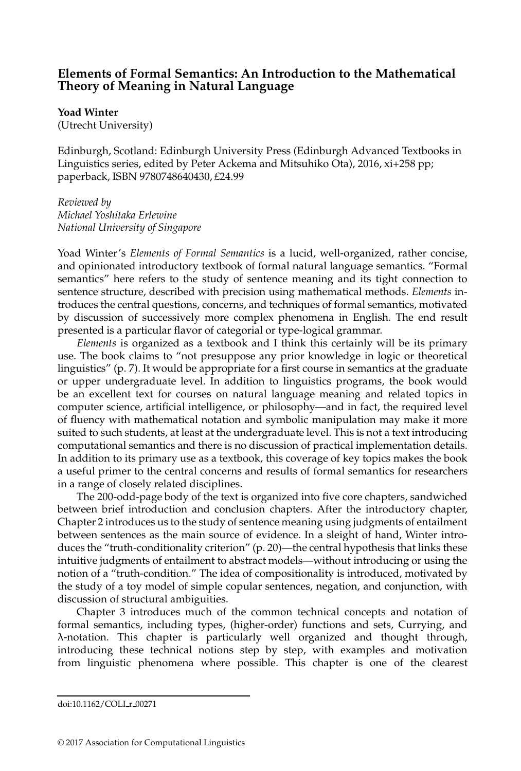## **Elements of Formal Semantics: An Introduction to the Mathematical Theory of Meaning in Natural Language**

## **Yoad Winter**

(Utrecht University)

Edinburgh, Scotland: Edinburgh University Press (Edinburgh Advanced Textbooks in Linguistics series, edited by Peter Ackema and Mitsuhiko Ota), 2016, xi+258 pp; paperback, ISBN 9780748640430, £24.99

*Reviewed by Michael Yoshitaka Erlewine National University of Singapore*

Yoad Winter's *Elements of Formal Semantics* is a lucid, well-organized, rather concise, and opinionated introductory textbook of formal natural language semantics. "Formal semantics" here refers to the study of sentence meaning and its tight connection to sentence structure, described with precision using mathematical methods. *Elements* introduces the central questions, concerns, and techniques of formal semantics, motivated by discussion of successively more complex phenomena in English. The end result presented is a particular flavor of categorial or type-logical grammar.

*Elements* is organized as a textbook and I think this certainly will be its primary use. The book claims to "not presuppose any prior knowledge in logic or theoretical linguistics" (p. 7). It would be appropriate for a first course in semantics at the graduate or upper undergraduate level. In addition to linguistics programs, the book would be an excellent text for courses on natural language meaning and related topics in computer science, artificial intelligence, or philosophy—and in fact, the required level of fluency with mathematical notation and symbolic manipulation may make it more suited to such students, at least at the undergraduate level. This is not a text introducing computational semantics and there is no discussion of practical implementation details. In addition to its primary use as a textbook, this coverage of key topics makes the book a useful primer to the central concerns and results of formal semantics for researchers in a range of closely related disciplines.

The 200-odd-page body of the text is organized into five core chapters, sandwiched between brief introduction and conclusion chapters. After the introductory chapter, Chapter 2 introduces us to the study of sentence meaning using judgments of entailment between sentences as the main source of evidence. In a sleight of hand, Winter introduces the "truth-conditionality criterion" (p. 20)—the central hypothesis that links these intuitive judgments of entailment to abstract models—without introducing or using the notion of a "truth-condition." The idea of compositionality is introduced, motivated by the study of a toy model of simple copular sentences, negation, and conjunction, with discussion of structural ambiguities.

Chapter 3 introduces much of the common technical concepts and notation of formal semantics, including types, (higher-order) functions and sets, Currying, and λ-notation. This chapter is particularly well organized and thought through, introducing these technical notions step by step, with examples and motivation from linguistic phenomena where possible. This chapter is one of the clearest

doi:10.1162/COLI r 00271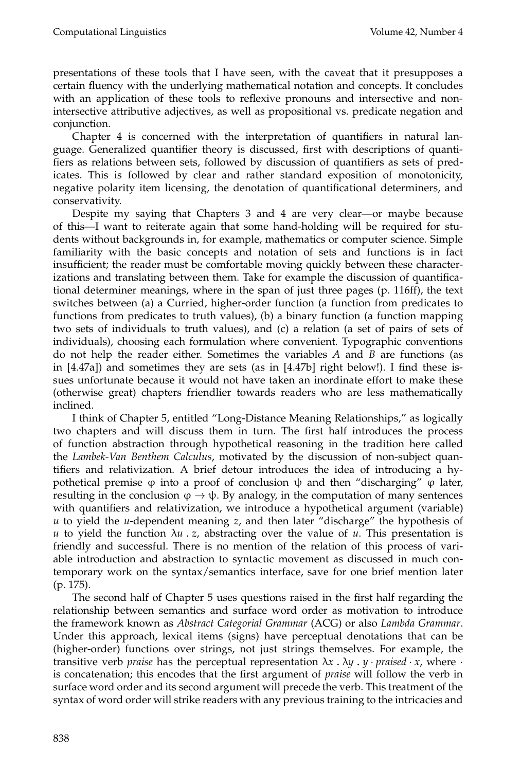presentations of these tools that I have seen, with the caveat that it presupposes a certain fluency with the underlying mathematical notation and concepts. It concludes with an application of these tools to reflexive pronouns and intersective and nonintersective attributive adjectives, as well as propositional vs. predicate negation and conjunction.

Chapter 4 is concerned with the interpretation of quantifiers in natural language. Generalized quantifier theory is discussed, first with descriptions of quantifiers as relations between sets, followed by discussion of quantifiers as sets of predicates. This is followed by clear and rather standard exposition of monotonicity, negative polarity item licensing, the denotation of quantificational determiners, and conservativity.

Despite my saying that Chapters 3 and 4 are very clear—or maybe because of this—I want to reiterate again that some hand-holding will be required for students without backgrounds in, for example, mathematics or computer science. Simple familiarity with the basic concepts and notation of sets and functions is in fact insufficient; the reader must be comfortable moving quickly between these characterizations and translating between them. Take for example the discussion of quantificational determiner meanings, where in the span of just three pages (p. 116ff), the text switches between (a) a Curried, higher-order function (a function from predicates to functions from predicates to truth values), (b) a binary function (a function mapping two sets of individuals to truth values), and (c) a relation (a set of pairs of sets of individuals), choosing each formulation where convenient. Typographic conventions do not help the reader either. Sometimes the variables *A* and *B* are functions (as in [4.47a]) and sometimes they are sets (as in [4.47b] right below!). I find these issues unfortunate because it would not have taken an inordinate effort to make these (otherwise great) chapters friendlier towards readers who are less mathematically inclined.

I think of Chapter 5, entitled "Long-Distance Meaning Relationships," as logically two chapters and will discuss them in turn. The first half introduces the process of function abstraction through hypothetical reasoning in the tradition here called the *Lambek-Van Benthem Calculus*, motivated by the discussion of non-subject quantifiers and relativization. A brief detour introduces the idea of introducing a hypothetical premise  $\varphi$  into a proof of conclusion  $\psi$  and then "discharging"  $\varphi$  later, resulting in the conclusion  $\varphi \to \psi$ . By analogy, in the computation of many sentences with quantifiers and relativization, we introduce a hypothetical argument (variable) *u* to yield the *u*-dependent meaning *z*, and then later "discharge" the hypothesis of *u* to yield the function  $\lambda u$  . *z*, abstracting over the value of *u*. This presentation is friendly and successful. There is no mention of the relation of this process of variable introduction and abstraction to syntactic movement as discussed in much contemporary work on the syntax/semantics interface, save for one brief mention later (p. 175).

The second half of Chapter 5 uses questions raised in the first half regarding the relationship between semantics and surface word order as motivation to introduce the framework known as *Abstract Categorial Grammar* (ACG) or also *Lambda Grammar*. Under this approach, lexical items (signs) have perceptual denotations that can be (higher-order) functions over strings, not just strings themselves. For example, the transitive verb *praise* has the perceptual representation  $\lambda x \cdot \lambda y \cdot \textit{praised} \cdot x$ , where  $\cdot$ is concatenation; this encodes that the first argument of *praise* will follow the verb in surface word order and its second argument will precede the verb. This treatment of the syntax of word order will strike readers with any previous training to the intricacies and